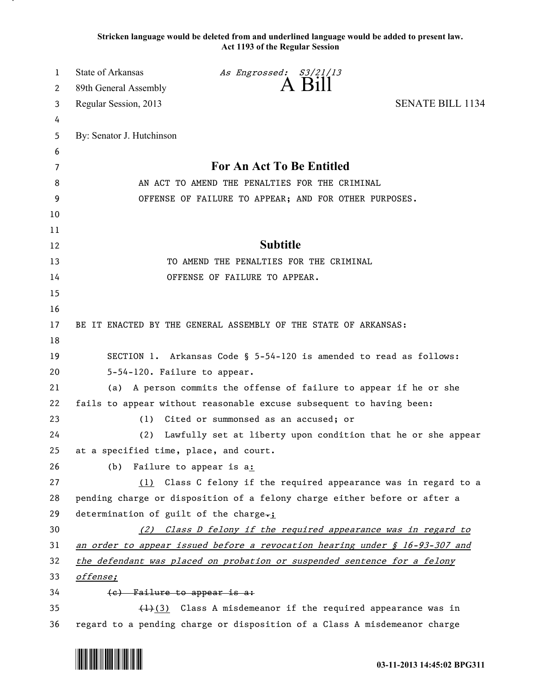**Stricken language would be deleted from and underlined language would be added to present law. Act 1193 of the Regular Session**

| 1        | State of Arkansas                                                                  | As Engrossed: S3/21/13                                                    |                         |  |
|----------|------------------------------------------------------------------------------------|---------------------------------------------------------------------------|-------------------------|--|
| 2        | 89th General Assembly                                                              | A Bill                                                                    |                         |  |
| 3        | Regular Session, 2013                                                              |                                                                           | <b>SENATE BILL 1134</b> |  |
| 4        |                                                                                    |                                                                           |                         |  |
| 5        | By: Senator J. Hutchinson                                                          |                                                                           |                         |  |
| 6        |                                                                                    |                                                                           |                         |  |
| 7        | For An Act To Be Entitled                                                          |                                                                           |                         |  |
| 8        | AN ACT TO AMEND THE PENALTIES FOR THE CRIMINAL                                     |                                                                           |                         |  |
| 9        |                                                                                    | OFFENSE OF FAILURE TO APPEAR; AND FOR OTHER PURPOSES.                     |                         |  |
| 10       |                                                                                    |                                                                           |                         |  |
| 11       |                                                                                    |                                                                           |                         |  |
| 12       |                                                                                    | <b>Subtitle</b>                                                           |                         |  |
| 13       |                                                                                    | TO AMEND THE PENALTIES FOR THE CRIMINAL                                   |                         |  |
| 14       |                                                                                    | OFFENSE OF FAILURE TO APPEAR.                                             |                         |  |
| 15<br>16 |                                                                                    |                                                                           |                         |  |
| 17       |                                                                                    | BE IT ENACTED BY THE GENERAL ASSEMBLY OF THE STATE OF ARKANSAS:           |                         |  |
| 18       |                                                                                    |                                                                           |                         |  |
| 19       |                                                                                    | SECTION 1. Arkansas Code § 5-54-120 is amended to read as follows:        |                         |  |
| 20       | 5-54-120. Failure to appear.                                                       |                                                                           |                         |  |
| 21       | (a) A person commits the offense of failure to appear if he or she                 |                                                                           |                         |  |
| 22       | fails to appear without reasonable excuse subsequent to having been:               |                                                                           |                         |  |
| 23       | (1)                                                                                | Cited or summonsed as an accused; or                                      |                         |  |
| 24       | (2)                                                                                | Lawfully set at liberty upon condition that he or she appear              |                         |  |
| 25       | at a specified time, place, and court.                                             |                                                                           |                         |  |
| 26       | (b)                                                                                | Failure to appear is a:                                                   |                         |  |
| 27       |                                                                                    | (1) Class C felony if the required appearance was in regard to a          |                         |  |
| 28       | pending charge or disposition of a felony charge either before or after a          |                                                                           |                         |  |
| 29       | determination of guilt of the charge-;                                             |                                                                           |                         |  |
| 30       | (2) Class D felony if the required appearance was in regard to                     |                                                                           |                         |  |
| 31       | <u>an order to appear issued before a revocation hearing under § 16-93-307 and</u> |                                                                           |                         |  |
| 32       | the defendant was placed on probation or suspended sentence for a felony           |                                                                           |                         |  |
| 33       | offense;                                                                           |                                                                           |                         |  |
| 34       | (e) Failure to appear is a:                                                        |                                                                           |                         |  |
| 35       | $\left(\frac{1}{2}\right)$ Class A misdemeanor if the required appearance was in   |                                                                           |                         |  |
| 36       |                                                                                    | regard to a pending charge or disposition of a Class A misdemeanor charge |                         |  |